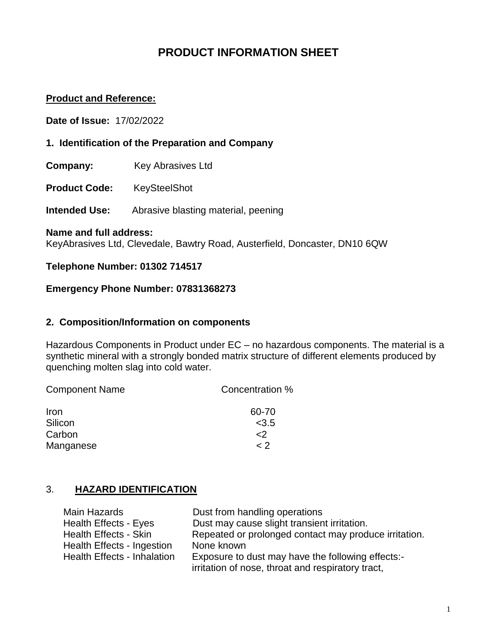# **PRODUCT INFORMATION SHEET**

### **Product and Reference:**

**Date of Issue:** 17/02/2022

- **1. Identification of the Preparation and Company**
- **Company:** Key Abrasives Ltd
- **Product Code:** KeySteelShot

**Intended Use:** Abrasive blasting material, peening

#### **Name and full address:**

KeyAbrasives Ltd, Clevedale, Bawtry Road, Austerfield, Doncaster, DN10 6QW

#### **Telephone Number: 01302 714517**

# **Emergency Phone Number: 07831368273**

#### **2. Composition/Information on components**

Hazardous Components in Product under EC – no hazardous components. The material is a synthetic mineral with a strongly bonded matrix structure of different elements produced by quenching molten slag into cold water.

| <b>Component Name</b> | Concentration % |
|-----------------------|-----------------|
| <b>Iron</b>           | 60-70           |
| Silicon               | < 3.5           |
| Carbon                | $\langle$       |
| Manganese             | $\langle$ 2     |

#### 3. **HAZARD IDENTIFICATION**

| Main Hazards                       | Dust from handling operations                         |
|------------------------------------|-------------------------------------------------------|
| <b>Health Effects - Eyes</b>       | Dust may cause slight transient irritation.           |
| <b>Health Effects - Skin</b>       | Repeated or prolonged contact may produce irritation. |
| <b>Health Effects - Ingestion</b>  | None known                                            |
| <b>Health Effects - Inhalation</b> | Exposure to dust may have the following effects:-     |
|                                    | irritation of nose, throat and respiratory tract,     |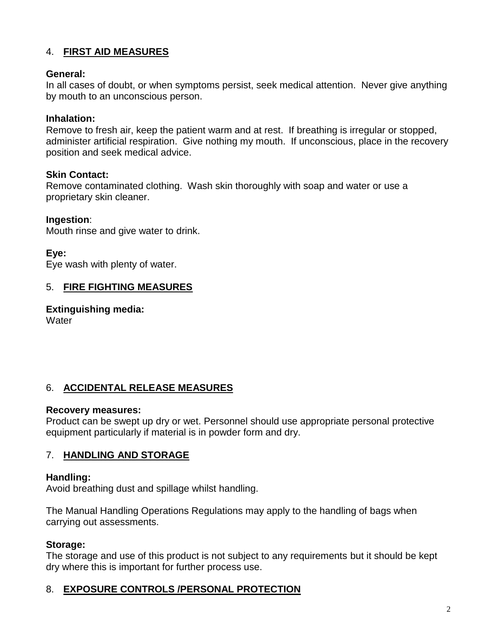# 4. **FIRST AID MEASURES**

### **General:**

In all cases of doubt, or when symptoms persist, seek medical attention. Never give anything by mouth to an unconscious person.

### **Inhalation:**

Remove to fresh air, keep the patient warm and at rest. If breathing is irregular or stopped, administer artificial respiration. Give nothing my mouth. If unconscious, place in the recovery position and seek medical advice.

#### **Skin Contact:**

Remove contaminated clothing. Wash skin thoroughly with soap and water or use a proprietary skin cleaner.

#### **Ingestion**:

Mouth rinse and give water to drink.

#### **Eye:**

Eye wash with plenty of water.

### 5. **FIRE FIGHTING MEASURES**

**Extinguishing media: Water** 

### 6. **ACCIDENTAL RELEASE MEASURES**

#### **Recovery measures:**

Product can be swept up dry or wet. Personnel should use appropriate personal protective equipment particularly if material is in powder form and dry.

#### 7. **HANDLING AND STORAGE**

#### **Handling:**

Avoid breathing dust and spillage whilst handling.

The Manual Handling Operations Regulations may apply to the handling of bags when carrying out assessments.

#### **Storage:**

The storage and use of this product is not subject to any requirements but it should be kept dry where this is important for further process use.

#### 8. **EXPOSURE CONTROLS /PERSONAL PROTECTION**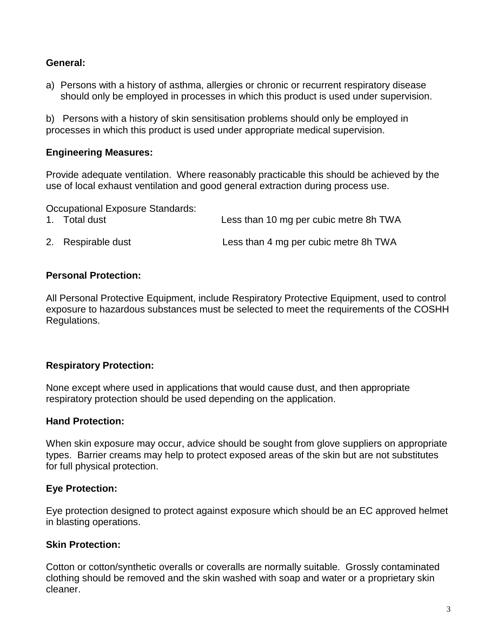### **General:**

a) Persons with a history of asthma, allergies or chronic or recurrent respiratory disease should only be employed in processes in which this product is used under supervision.

b) Persons with a history of skin sensitisation problems should only be employed in processes in which this product is used under appropriate medical supervision.

### **Engineering Measures:**

Provide adequate ventilation. Where reasonably practicable this should be achieved by the use of local exhaust ventilation and good general extraction during process use.

Occupational Exposure Standards:

| 1. Total dust      | Less than 10 mg per cubic metre 8h TWA |
|--------------------|----------------------------------------|
| 2. Respirable dust | Less than 4 mg per cubic metre 8h TWA  |

#### **Personal Protection:**

All Personal Protective Equipment, include Respiratory Protective Equipment, used to control exposure to hazardous substances must be selected to meet the requirements of the COSHH Regulations.

#### **Respiratory Protection:**

None except where used in applications that would cause dust, and then appropriate respiratory protection should be used depending on the application.

#### **Hand Protection:**

When skin exposure may occur, advice should be sought from glove suppliers on appropriate types. Barrier creams may help to protect exposed areas of the skin but are not substitutes for full physical protection.

### **Eye Protection:**

Eye protection designed to protect against exposure which should be an EC approved helmet in blasting operations.

### **Skin Protection:**

Cotton or cotton/synthetic overalls or coveralls are normally suitable. Grossly contaminated clothing should be removed and the skin washed with soap and water or a proprietary skin cleaner.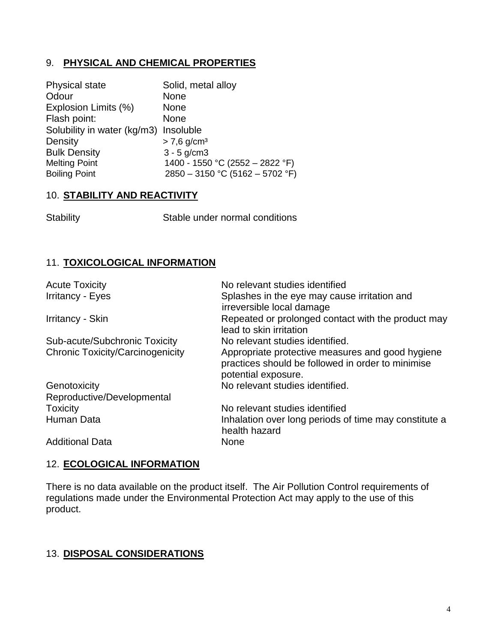### 9. **PHYSICAL AND CHEMICAL PROPERTIES**

| <b>Physical state</b>       | Solid, metal alloy                |
|-----------------------------|-----------------------------------|
| Odour                       | <b>None</b>                       |
| Explosion Limits (%)        | <b>None</b>                       |
| Flash point:                | <b>None</b>                       |
| Solubility in water (kg/m3) | Insoluble                         |
| Density                     | $> 7,6$ g/cm <sup>3</sup>         |
| <b>Bulk Density</b>         | $3 - 5$ g/cm $3$                  |
| <b>Melting Point</b>        | 1400 - 1550 °C (2552 - 2822 °F)   |
| <b>Boiling Point</b>        | $2850 - 3150$ °C (5162 - 5702 °F) |

#### 10. **STABILITY AND REACTIVITY**

Stability Stable under normal conditions

# 11. **TOXICOLOGICAL INFORMATION**

| <b>Acute Toxicity</b>                   | No relevant studies identified                                                                                               |
|-----------------------------------------|------------------------------------------------------------------------------------------------------------------------------|
| <b>Irritancy - Eyes</b>                 | Splashes in the eye may cause irritation and<br>irreversible local damage                                                    |
| Irritancy - Skin                        | Repeated or prolonged contact with the product may<br>lead to skin irritation                                                |
| Sub-acute/Subchronic Toxicity           | No relevant studies identified.                                                                                              |
| <b>Chronic Toxicity/Carcinogenicity</b> | Appropriate protective measures and good hygiene<br>practices should be followed in order to minimise<br>potential exposure. |
| Genotoxicity                            | No relevant studies identified.                                                                                              |
| Reproductive/Developmental              |                                                                                                                              |
| <b>Toxicity</b>                         | No relevant studies identified                                                                                               |
| Human Data                              | Inhalation over long periods of time may constitute a<br>health hazard                                                       |
| <b>Additional Data</b>                  | <b>None</b>                                                                                                                  |

# 12. **ECOLOGICAL INFORMATION**

There is no data available on the product itself. The Air Pollution Control requirements of regulations made under the Environmental Protection Act may apply to the use of this product.

### 13. **DISPOSAL CONSIDERATIONS**